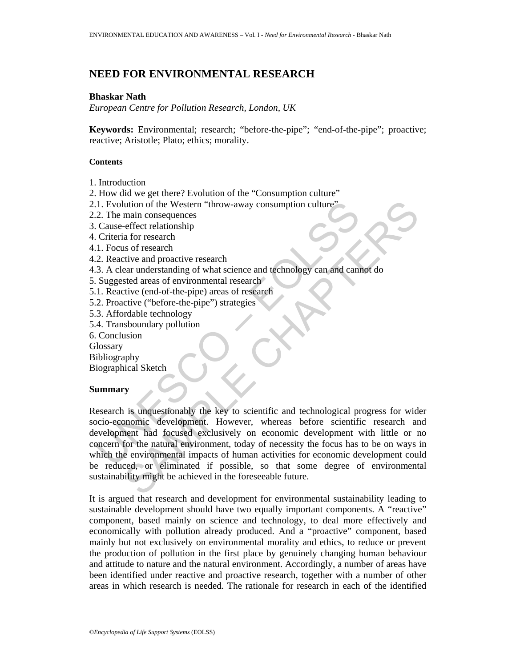# **NEED FOR ENVIRONMENTAL RESEARCH**

### **Bhaskar Nath**

*European Centre for Pollution Research, London, UK* 

**Keywords:** Environmental; research; "before-the-pipe"; "end-of-the-pipe"; proactive; reactive; Aristotle; Plato; ethics; morality.

### **Contents**

- 1. Introduction
- 2. How did we get there? Evolution of the "Consumption culture"
- 2.1. Evolution of the Western "throw-away consumption culture"
- 2.2. The main consequences
- 3. Cause-effect relationship
- 4. Criteria for research
- 4.1. Focus of research
- 4.2. Reactive and proactive research
- 4.3. A clear understanding of what science and technology can and cannot do
- 5. Suggested areas of environmental research
- 5.1. Reactive (end-of-the-pipe) areas of research
- 5.2. Proactive ("before-the-pipe") strategies
- 5.3. Affordable technology
- 5.4. Transboundary pollution
- 6. Conclusion
- **Glossary**
- Bibliography

Biographical Sketch

# **Summary**

1. Evolution of the Western "throw-away consumption culture"<br>
2. The main consequences<br>
2. Cause-effect relationship<br>
1. Criteria for research<br>
1. Eocus of research<br>
2. Reactive and proactive research<br>
2. Reactive and proa Main consequences<br>
main consequences<br>
main consequences<br>
is of research<br>
so free search<br>
so free search entire and proactive research<br>
rive and proactive research<br>
rive and proactive research<br>
rive and proactive research<br> Research is unquestionably the key to scientific and technological progress for wider socio-economic development. However, whereas before scientific research and development had focused exclusively on economic development with little or no concern for the natural environment, today of necessity the focus has to be on ways in which the environmental impacts of human activities for economic development could be reduced, or eliminated if possible, so that some degree of environmental sustainability might be achieved in the foreseeable future.

It is argued that research and development for environmental sustainability leading to sustainable development should have two equally important components. A "reactive" component, based mainly on science and technology, to deal more effectively and economically with pollution already produced. And a "proactive" component, based mainly but not exclusively on environmental morality and ethics, to reduce or prevent the production of pollution in the first place by genuinely changing human behaviour and attitude to nature and the natural environment. Accordingly, a number of areas have been identified under reactive and proactive research, together with a number of other areas in which research is needed. The rationale for research in each of the identified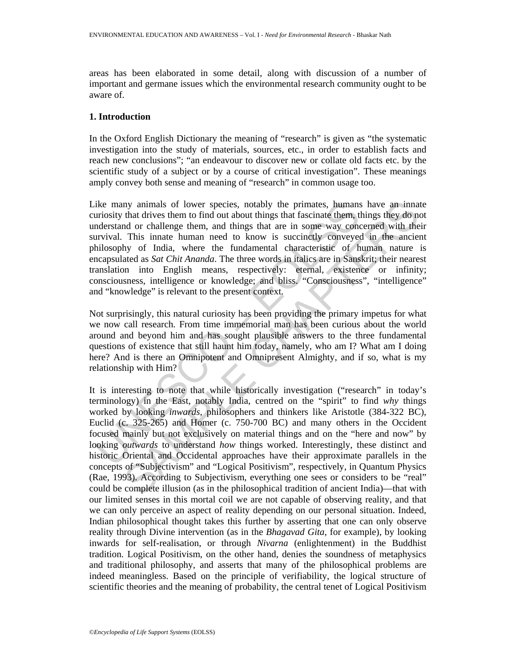areas has been elaborated in some detail, along with discussion of a number of important and germane issues which the environmental research community ought to be aware of.

### **1. Introduction**

In the Oxford English Dictionary the meaning of "research" is given as "the systematic investigation into the study of materials, sources, etc., in order to establish facts and reach new conclusions"; "an endeavour to discover new or collate old facts etc. by the scientific study of a subject or by a course of critical investigation". These meanings amply convey both sense and meaning of "research" in common usage too.

ike many animals of lower species, notably the primates, humans<br>uriosity that divies them to find out about things that fascinate them, the<br>moderstand or challenge them, and things that are in some way come<br>urival. This i Like many animals of lower species, notably the primates, humans have an innate curiosity that drives them to find out about things that fascinate them, things they do not understand or challenge them, and things that are in some way concerned with their survival. This innate human need to know is succinctly conveyed in the ancient philosophy of India, where the fundamental characteristic of human nature is encapsulated as *Sat Chit Ananda*. The three words in italics are in Sanskrit; their nearest translation into English means, respectively: eternal, existence or infinity; consciousness, intelligence or knowledge; and bliss. "Consciousness", "intelligence" and "knowledge" is relevant to the present context.

Not surprisingly, this natural curiosity has been providing the primary impetus for what we now call research. From time immemorial man has been curious about the world around and beyond him and has sought plausible answers to the three fundamental questions of existence that still haunt him today, namely, who am I? What am I doing here? And is there an Omnipotent and Omnipresent Almighty, and if so, what is my relationship with Him?

ny animals of lower species, notably the primates, humans have an innat<br>that divives them to find out about things that fascinate them, things they do n<br>and or or hallenge them, and things that are in some way concerned wi It is interesting to note that while historically investigation ("research" in today's terminology) in the East, notably India, centred on the "spirit" to find *why* things worked by looking *inwards*, philosophers and thinkers like Aristotle (384-322 BC), Euclid (c. 325-265) and Homer (c. 750-700 BC) and many others in the Occident focused mainly but not exclusively on material things and on the "here and now" by looking *outwards* to understand *how* things worked. Interestingly, these distinct and historic Oriental and Occidental approaches have their approximate parallels in the concepts of "Subjectivism" and "Logical Positivism", respectively, in Quantum Physics (Rae, 1993). According to Subjectivism, everything one sees or considers to be "real" could be complete illusion (as in the philosophical tradition of ancient India)—that with our limited senses in this mortal coil we are not capable of observing reality, and that we can only perceive an aspect of reality depending on our personal situation. Indeed, Indian philosophical thought takes this further by asserting that one can only observe reality through Divine intervention (as in the *Bhagavad Gita*, for example), by looking inwards for self-realisation, or through *Nivarna* (enlightenment) in the Buddhist tradition. Logical Positivism, on the other hand, denies the soundness of metaphysics and traditional philosophy, and asserts that many of the philosophical problems are indeed meaningless. Based on the principle of verifiability, the logical structure of scientific theories and the meaning of probability, the central tenet of Logical Positivism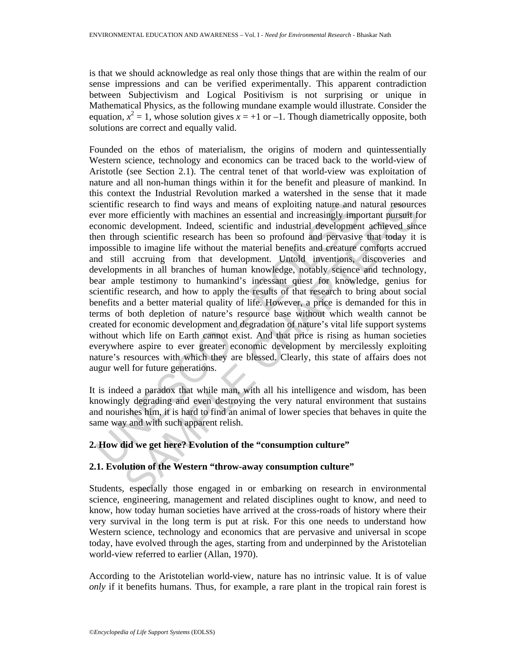is that we should acknowledge as real only those things that are within the realm of our sense impressions and can be verified experimentally. This apparent contradiction between Subjectivism and Logical Positivism is not surprising or unique in Mathematical Physics, as the following mundane example would illustrate. Consider the equation,  $x^2 = 1$ , whose solution gives  $x = +1$  or  $-1$ . Though diametrically opposite, both solutions are correct and equally valid.

cientific research to find ways and means of exploiting nature and<br>ver more efficiently with machines an essential and increasingly imp<br>cononic development. Indeed, scientific and industrial development<br>through scientific r ersearch to find ways and means of exploiting nature and natural resource efficiently with machines an essential and increasingly important pussifit cere development. Indeed, scientific and industrial development achieve Founded on the ethos of materialism, the origins of modern and quintessentially Western science, technology and economics can be traced back to the world-view of Aristotle (see Section 2.1). The central tenet of that world-view was exploitation of nature and all non-human things within it for the benefit and pleasure of mankind. In this context the Industrial Revolution marked a watershed in the sense that it made scientific research to find ways and means of exploiting nature and natural resources ever more efficiently with machines an essential and increasingly important pursuit for economic development. Indeed, scientific and industrial development achieved since then through scientific research has been so profound and pervasive that today it is impossible to imagine life without the material benefits and creature comforts accrued and still accruing from that development. Untold inventions, discoveries and developments in all branches of human knowledge, notably science and technology, bear ample testimony to humankind's incessant quest for knowledge, genius for scientific research, and how to apply the results of that research to bring about social benefits and a better material quality of life. However, a price is demanded for this in terms of both depletion of nature's resource base without which wealth cannot be created for economic development and degradation of nature's vital life support systems without which life on Earth cannot exist. And that price is rising as human societies everywhere aspire to ever greater economic development by mercilessly exploiting nature's resources with which they are blessed. Clearly, this state of affairs does not augur well for future generations.

It is indeed a paradox that while man, with all his intelligence and wisdom, has been knowingly degrading and even destroying the very natural environment that sustains and nourishes him, it is hard to find an animal of lower species that behaves in quite the same way and with such apparent relish.

# **2. How did we get here? Evolution of the "consumption culture"**

# **2.1. Evolution of the Western "throw-away consumption culture"**

Students, especially those engaged in or embarking on research in environmental science, engineering, management and related disciplines ought to know, and need to know, how today human societies have arrived at the cross-roads of history where their very survival in the long term is put at risk. For this one needs to understand how Western science, technology and economics that are pervasive and universal in scope today, have evolved through the ages, starting from and underpinned by the Aristotelian world-view referred to earlier (Allan, 1970).

According to the Aristotelian world-view, nature has no intrinsic value. It is of value *only* if it benefits humans. Thus, for example, a rare plant in the tropical rain forest is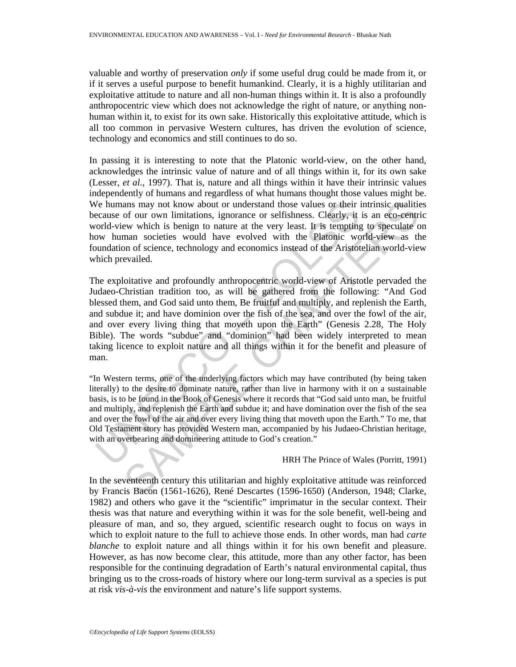valuable and worthy of preservation *only* if some useful drug could be made from it, or if it serves a useful purpose to benefit humankind. Clearly, it is a highly utilitarian and exploitative attitude to nature and all non-human things within it. It is also a profoundly anthropocentric view which does not acknowledge the right of nature, or anything nonhuman within it, to exist for its own sake. Historically this exploitative attitude, which is all too common in pervasive Western cultures, has driven the evolution of science, technology and economics and still continues to do so.

In passing it is interesting to note that the Platonic world-view, on the other hand, acknowledges the intrinsic value of nature and of all things within it, for its own sake (Lesser, *et al.*, 1997). That is, nature and all things within it have their intrinsic values independently of humans and regardless of what humans thought those values might be. We humans may not know about or understand those values or their intrinsic qualities because of our own limitations, ignorance or selfishness. Clearly, it is an eco-centric world-view which is benign to nature at the very least. It is tempting to speculate on how human societies would have evolved with the Platonic world-view as the foundation of science, technology and economics instead of the Aristotelian world-view which prevailed.

Ve humans may not know about or understand those values or their incause of our own limitations, ignorance or selfishness. Clearly, it ord-view which is benign to nature at the very least. It is tempting out of when in the ans may not know about or understand those values or their intrinsic qualities<br>of our own limitations, ignorance or selfshness. Clearly, it is a cocoentire<br>ow which is benign to nature at the very least. It is tempting to The exploitative and profoundly anthropocentric world-view of Aristotle pervaded the Judaeo-Christian tradition too, as will be gathered from the following: "And God blessed them, and God said unto them, Be fruitful and multiply, and replenish the Earth, and subdue it; and have dominion over the fish of the sea, and over the fowl of the air, and over every living thing that moveth upon the Earth" (Genesis 2.28, The Holy Bible). The words "subdue" and "dominion" had been widely interpreted to mean taking licence to exploit nature and all things within it for the benefit and pleasure of man.

"In Western terms, one of the underlying factors which may have contributed (by being taken literally) to the desire to dominate nature, rather than live in harmony with it on a sustainable basis, is to be found in the Book of Genesis where it records that "God said unto man, be fruitful and multiply, and replenish the Earth and subdue it; and have domination over the fish of the sea and over the fowl of the air and over every living thing that moveth upon the Earth." To me, that Old Testament story has provided Western man, accompanied by his Judaeo-Christian heritage, with an overbearing and domineering attitude to God's creation."

#### HRH The Prince of Wales (Porritt, 1991)

In the seventeenth century this utilitarian and highly exploitative attitude was reinforced by Francis Bacon (1561-1626), René Descartes (1596-1650) (Anderson, 1948; Clarke, 1982) and others who gave it the "scientific" imprimatur in the secular context. Their thesis was that nature and everything within it was for the sole benefit, well-being and pleasure of man, and so, they argued, scientific research ought to focus on ways in which to exploit nature to the full to achieve those ends. In other words, man had *carte blanche* to exploit nature and all things within it for his own benefit and pleasure. However, as has now become clear, this attitude, more than any other factor, has been responsible for the continuing degradation of Earth's natural environmental capital, thus bringing us to the cross-roads of history where our long-term survival as a species is put at risk *vis-à-vis* the environment and nature's life support systems.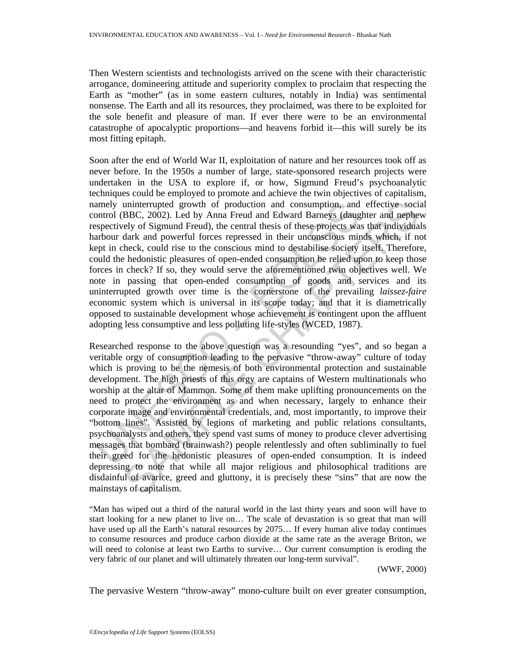Then Western scientists and technologists arrived on the scene with their characteristic arrogance, domineering attitude and superiority complex to proclaim that respecting the Earth as "mother" (as in some eastern cultures, notably in India) was sentimental nonsense. The Earth and all its resources, they proclaimed, was there to be exploited for the sole benefit and pleasure of man. If ever there were to be an environmental catastrophe of apocalyptic proportions—and heavens forbid it—this will surely be its most fitting epitaph.

amely uninterrupted growth of production and consumption, and<br>omtrol (BBC, 2002). Led by Anna Freud and Edward Barneys (dange<br>syspectively of Sigmund Freud), the central thesis of these projects was<br>protoved of Sigmund Fre Soon after the end of World War II, exploitation of nature and her resources took off as never before. In the 1950s a number of large, state-sponsored research projects were undertaken in the USA to explore if, or how, Sigmund Freud's psychoanalytic techniques could be employed to promote and achieve the twin objectives of capitalism, namely uninterrupted growth of production and consumption, and effective social control (BBC, 2002). Led by Anna Freud and Edward Barneys (daughter and nephew respectively of Sigmund Freud), the central thesis of these projects was that individuals harbour dark and powerful forces repressed in their unconscious minds which, if not kept in check, could rise to the conscious mind to destabilise society itself. Therefore, could the hedonistic pleasures of open-ended consumption be relied upon to keep those forces in check? If so, they would serve the aforementioned twin objectives well. We note in passing that open-ended consumption of goods and services and its uninterrupted growth over time is the cornerstone of the prevailing *laissez-faire* economic system which is universal in its scope today; and that it is diametrically opposed to sustainable development whose achievement is contingent upon the affluent adopting less consumptive and less polluting life-styles (WCED, 1987).

uninterrupted growth of production and consumption, and effective social BBC, 2002). Led by Anna Freud and Edward Bameys (daughter and nepheud and Evel of Sigmund Freud), the central thesis of these projects was that indiv Researched response to the above question was a resounding "yes", and so began a veritable orgy of consumption leading to the pervasive "throw-away" culture of today which is proving to be the nemesis of both environmental protection and sustainable development. The high priests of this orgy are captains of Western multinationals who worship at the altar of Mammon. Some of them make uplifting pronouncements on the need to protect the environment as and when necessary, largely to enhance their corporate image and environmental credentials, and, most importantly, to improve their "bottom lines". Assisted by legions of marketing and public relations consultants, psychoanalysts and others, they spend vast sums of money to produce clever advertising messages that bombard (brainwash?) people relentlessly and often subliminally to fuel their greed for the hedonistic pleasures of open-ended consumption. It is indeed depressing to note that while all major religious and philosophical traditions are disdainful of avarice, greed and gluttony, it is precisely these "sins" that are now the mainstays of capitalism.

"Man has wiped out a third of the natural world in the last thirty years and soon will have to start looking for a new planet to live on… The scale of devastation is so great that man will have used up all the Earth's natural resources by 2075... If every human alive today continues to consume resources and produce carbon dioxide at the same rate as the average Briton, we will need to colonise at least two Earths to survive… Our current consumption is eroding the very fabric of our planet and will ultimately threaten our long-term survival".

(WWF, 2000)

The pervasive Western "throw-away" mono-culture built on ever greater consumption,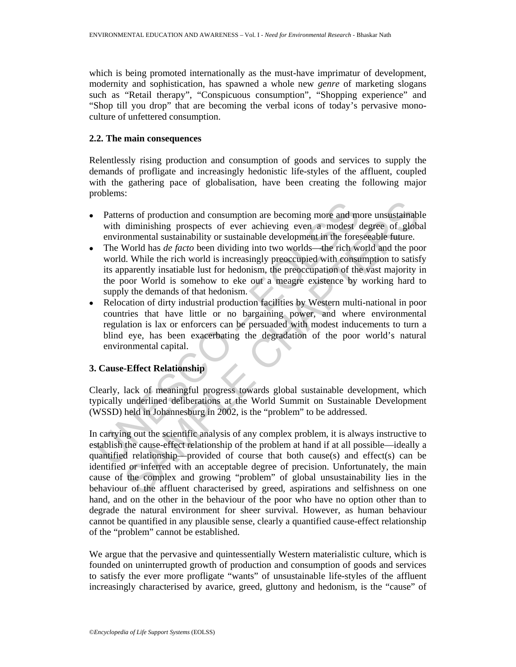which is being promoted internationally as the must-have imprimatur of development, modernity and sophistication, has spawned a whole new *genre* of marketing slogans such as "Retail therapy", "Conspicuous consumption", "Shopping experience" and "Shop till you drop" that are becoming the verbal icons of today's pervasive monoculture of unfettered consumption.

### **2.2. The main consequences**

Relentlessly rising production and consumption of goods and services to supply the demands of profligate and increasingly hedonistic life-styles of the affluent, coupled with the gathering pace of globalisation, have been creating the following major problems:

- Patterns of production and consumption are becoming more and more unsustainable with diminishing prospects of ever achieving even a modest degree of global environmental sustainability or sustainable development in the foreseeable future.
- Patterns of production and consumption are becoming more and m<br>with diminishing prospects of ever achieving even a modest environmental sustainability or sustainable development in the forey.<br>The World has *de facto* been • The World has *de facto* been dividing into two worlds—the rich world and the poor world. While the rich world is increasingly preoccupied with consumption to satisfy its apparently insatiable lust for hedonism, the preoccupation of the vast majority in the poor World is somehow to eke out a meagre existence by working hard to supply the demands of that hedonism.
- Relocation of dirty industrial production facilities by Western multi-national in poor countries that have little or no bargaining power, and where environmental regulation is lax or enforcers can be persuaded with modest inducements to turn a blind eye, has been exacerbating the degradation of the poor world's natural environmental capital.

# **3. Cause-Effect Relationship**

Clearly, lack of meaningful progress towards global sustainable development, which typically underlined deliberations at the World Summit on Sustainable Development (WSSD) held in Johannesburg in 2002, is the "problem" to be addressed.

ms of production and consumption are becoming more and more unsustainable diminishing prospects of ever achieving even a modest degree of globommental sustainability or sustainable development in the foreseeable future.<br>W In carrying out the scientific analysis of any complex problem, it is always instructive to establish the cause-effect relationship of the problem at hand if at all possible—ideally a quantified relationship—provided of course that both cause(s) and effect(s) can be identified or inferred with an acceptable degree of precision. Unfortunately, the main cause of the complex and growing "problem" of global unsustainability lies in the behaviour of the affluent characterised by greed, aspirations and selfishness on one hand, and on the other in the behaviour of the poor who have no option other than to degrade the natural environment for sheer survival. However, as human behaviour cannot be quantified in any plausible sense, clearly a quantified cause-effect relationship of the "problem" cannot be established.

We argue that the pervasive and quintessentially Western materialistic culture, which is founded on uninterrupted growth of production and consumption of goods and services to satisfy the ever more profligate "wants" of unsustainable life-styles of the affluent increasingly characterised by avarice, greed, gluttony and hedonism, is the "cause" of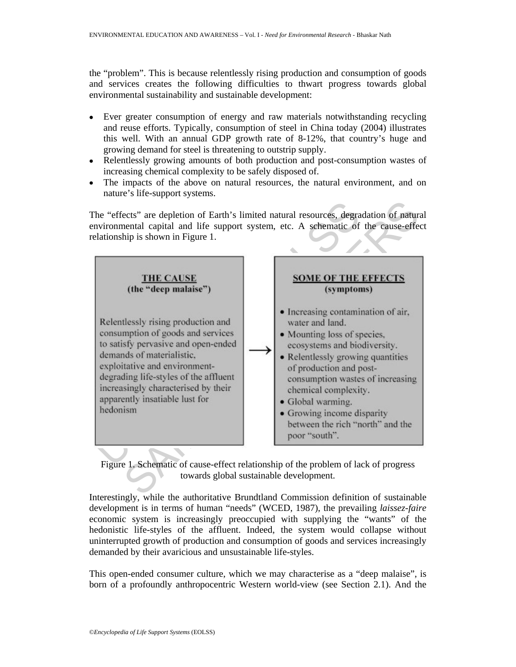the "problem". This is because relentlessly rising production and consumption of goods and services creates the following difficulties to thwart progress towards global environmental sustainability and sustainable development:

- Ever greater consumption of energy and raw materials notwithstanding recycling and reuse efforts. Typically, consumption of steel in China today (2004) illustrates this well. With an annual GDP growth rate of 8-12%, that country's huge and growing demand for steel is threatening to outstrip supply.
- Relentlessly growing amounts of both production and post-consumption wastes of increasing chemical complexity to be safely disposed of.
- The impacts of the above on natural resources, the natural environment, and on nature's life-support systems.

The "effects" are depletion of Earth's limited natural resources, degradation of natural environmental capital and life support system, etc. A schematic of the cause-effect relationship is shown in Figure 1.



Figure 1. Schematic of cause-effect relationship of the problem of lack of progress towards global sustainable development.

Interestingly, while the authoritative Brundtland Commission definition of sustainable development is in terms of human "needs" (WCED, 1987), the prevailing *laissez-faire* economic system is increasingly preoccupied with supplying the "wants" of the hedonistic life-styles of the affluent. Indeed, the system would collapse without uninterrupted growth of production and consumption of goods and services increasingly demanded by their avaricious and unsustainable life-styles.

This open-ended consumer culture, which we may characterise as a "deep malaise", is born of a profoundly anthropocentric Western world-view (see Section 2.1). And the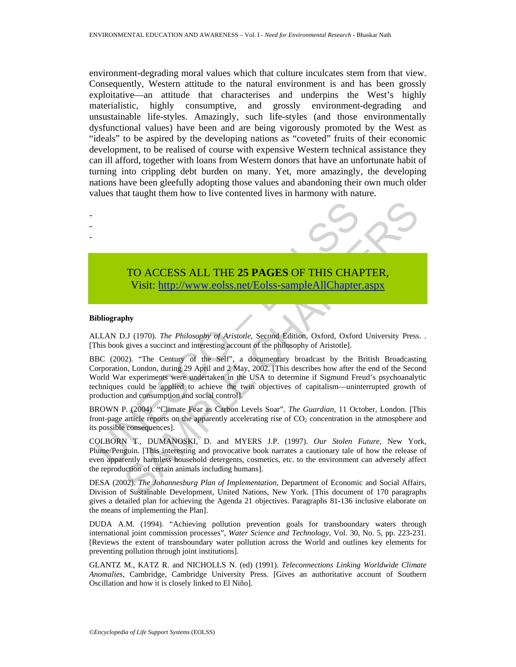environment-degrading moral values which that culture inculcates stem from that view. Consequently, Western attitude to the natural environment is and has been grossly exploitative—an attitude that characterises and underpins the West's highly materialistic, highly consumptive, and grossly environment-degrading and unsustainable life-styles. Amazingly, such life-styles (and those environmentally dysfunctional values) have been and are being vigorously promoted by the West as "ideals" to be aspired by the developing nations as "coveted" fruits of their economic development, to be realised of course with expensive Western technical assistance they can ill afford, together with loans from Western donors that have an unfortunate habit of turning into crippling debt burden on many. Yet, more amazingly, the developing nations have been gleefully adopting those values and abandoning their own much older values that taught them how to live contented lives in harmony with nature.



# TO ACCESS ALL THE **25 PAGES** OF THIS CHAPTER, Visit: http://www.eolss.net/Eolss-sampleAllChapter.aspx

#### **Bibliography**

ALLAN D.J (1970). *The Philosophy of Aristotle*, Second Edition, Oxford, Oxford University Press. . [This book gives a succinct and interesting account of the philosophy of Aristotle].

BBC (2002). "The Century of the Self", a documentary broadcast by the British Broadcasting Corporation, London, during 29 April and 2 May, 2002. [This describes how after the end of the Second World War experiments were undertaken in the USA to determine if Sigmund Freud's psychoanalytic techniques could be applied to achieve the twin objectives of capitalism—uninterrupted growth of production and consumption and social control].

BROWN P. (2004). "Climate Fear as Carbon Levels Soar". *The Guardian*, 11 October, London. [This front-page article reports on the apparently accelerating rise of CO<sub>2</sub> concentration in the atmosphere and its possible consequences].

COLBORN T., DUMANOSKI, D. and MYERS J.P. (1997). *Our Stolen Future*, New York, Plume/Penguin. [This interesting and provocative book narrates a cautionary tale of how the release of even apparently harmless household detergents, cosmetics, etc. to the environment can adversely affect the reproduction of certain animals including humans].

DESA (2002). *The Johannesburg Plan of Implementation*, Department of Economic and Social Affairs, Division of Sustainable Development, United Nations, New York. [This document of 170 paragraphs gives a detailed plan for achieving the Agenda 21 objectives. Paragraphs 81-136 inclusive elaborate on the means of implementing the Plan].

DUDA A.M. (1994). "Achieving pollution prevention goals for transboundary waters through international joint commission processes", *Water Science and Technology*, Vol. 30, No. 5, pp. 223-231. [Reviews the extent of transboundary water pollution across the World and outlines key elements for preventing pollution through joint institutions].

GLANTZ M., KATZ R. and NICHOLLS N. (ed) (1991). *Teleconnections Linking Worldwide Climate Anomalies*, Cambridge, Cambridge University Press. [Gives an authoritative account of Southern Oscillation and how it is closely linked to El Niño].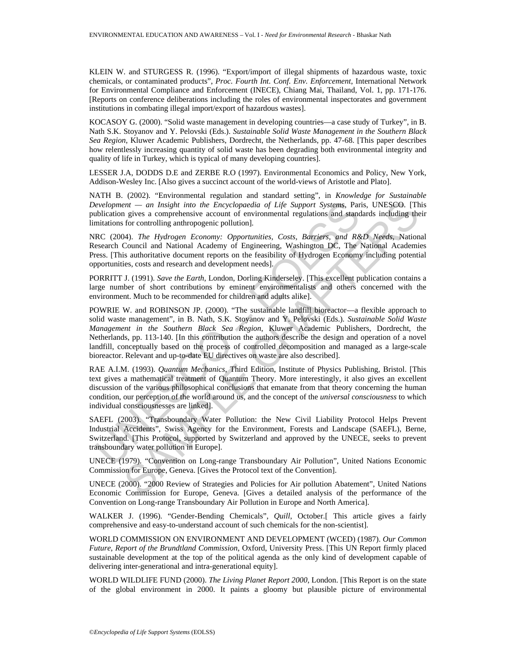KLEIN W. and STURGESS R. (1996). "Export/import of illegal shipments of hazardous waste, toxic chemicals, or contaminated products", *Proc. Fourth Int. Conf. Env. Enforcement*, International Network for Environmental Compliance and Enforcement (INECE), Chiang Mai, Thailand, Vol. 1, pp. 171-176. [Reports on conference deliberations including the roles of environmental inspectorates and government institutions in combating illegal import/export of hazardous wastes].

KOCASOY G. (2000). "Solid waste management in developing countries—a case study of Turkey", in B. Nath S.K. Stoyanov and Y. Pelovski (Eds.). *Sustainable Solid Waste Management in the Southern Black Sea Region*, Kluwer Academic Publishers, Dordrecht, the Netherlands, pp. 47-68. [This paper describes how relentlessly increasing quantity of solid waste has been degrading both environmental integrity and quality of life in Turkey, which is typical of many developing countries].

LESSER J.A, DODDS D.E and ZERBE R.O (1997). Environmental Economics and Policy, New York, Addison-Wesley Inc. [Also gives a succinct account of the world-views of Aristotle and Plato].

NATH B. (2002). "Environmental regulation and standard setting", in *Knowledge for Sustainable Development — an Insight into the Encyclopaedia of Life Support Systems,* Paris, UNESCO. [This publication gives a comprehensive account of environmental regulations and standards including their limitations for controlling anthropogenic pollution].

NRC (2004). *The Hydrogen Economy: Opportunities, Costs, Barriers, and R&D Needs*, National Research Council and National Academy of Engineering, Washington DC, The National Academies Press. [This authoritative document reports on the feasibility of Hydrogen Economy including potential opportunities, costs and research and development needs].

PORRITT J. (1991). *Save the Earth*, London, Dorling Kinderseley. [This excellent publication contains a large number of short contributions by eminent environmentalists and others concerned with the environment. Much to be recommended for children and adults alike].

evelopment — an Insight into the Encyclopaedia of Life Support Systems, Particiation gives a comprehensive account of environmental regulations and stand<br>initiations for controlling anthropogenic pollution].<br>RC (2004). The *ent* — an Insight into the Encyclopaedia of Life Support Systems, Paris, UNESCO, [The gives a compenensive account of environmental regulations and standards including the for screams properties account of environmental POWRIE W. and ROBINSON JP. (2000). "The sustainable landfill bioreactor—a flexible approach to solid waste management", in B. Nath, S.K. Stoyanov and Y. Pelovski (Eds.). *Sustainable Solid Waste Management in the Southern Black Sea Region*, Kluwer Academic Publishers, Dordrecht, the Netherlands, pp. 113-140. [In this contribution the authors describe the design and operation of a novel landfill, conceptually based on the process of controlled decomposition and managed as a large-scale bioreactor. Relevant and up-to-date EU directives on waste are also described].

RAE A.I.M. (1993). *Quantum Mechanics*, Third Edition, Institute of Physics Publishing, Bristol. [This text gives a mathematical treatment of Quantum Theory. More interestingly, it also gives an excellent discussion of the various philosophical conclusions that emanate from that theory concerning the human condition, our perception of the world around us, and the concept of the *universal consciousness* to which individual consciousnesses are linked].

SAEFL (2003). "Transboundary Water Pollution: the New Civil Liability Protocol Helps Prevent Industrial Accidents", Swiss Agency for the Environment, Forests and Landscape (SAEFL), Berne, Switzerland. [This Protocol, supported by Switzerland and approved by the UNECE, seeks to prevent transboundary water pollution in Europe].

UNECE (1979). "Convention on Long-range Transboundary Air Pollution", United Nations Economic Commission for Europe, Geneva. [Gives the Protocol text of the Convention].

UNECE (2000). "2000 Review of Strategies and Policies for Air pollution Abatement", United Nations Economic Commission for Europe, Geneva. [Gives a detailed analysis of the performance of the Convention on Long-range Transboundary Air Pollution in Europe and North America].

WALKER J. (1996). "Gender-Bending Chemicals", *Quill*, October.<sup>[</sup> This article gives a fairly comprehensive and easy-to-understand account of such chemicals for the non-scientist].

WORLD COMMISSION ON ENVIRONMENT AND DEVELOPMENT (WCED) (1987). *Our Common Future*, *Report of the Brundtland Commission*, Oxford, University Press. [This UN Report firmly placed sustainable development at the top of the political agenda as the only kind of development capable of delivering inter-generational and intra-generational equity].

WORLD WILDLIFE FUND (2000). *The Living Planet Report 2000*, London. [This Report is on the state of the global environment in 2000. It paints a gloomy but plausible picture of environmental